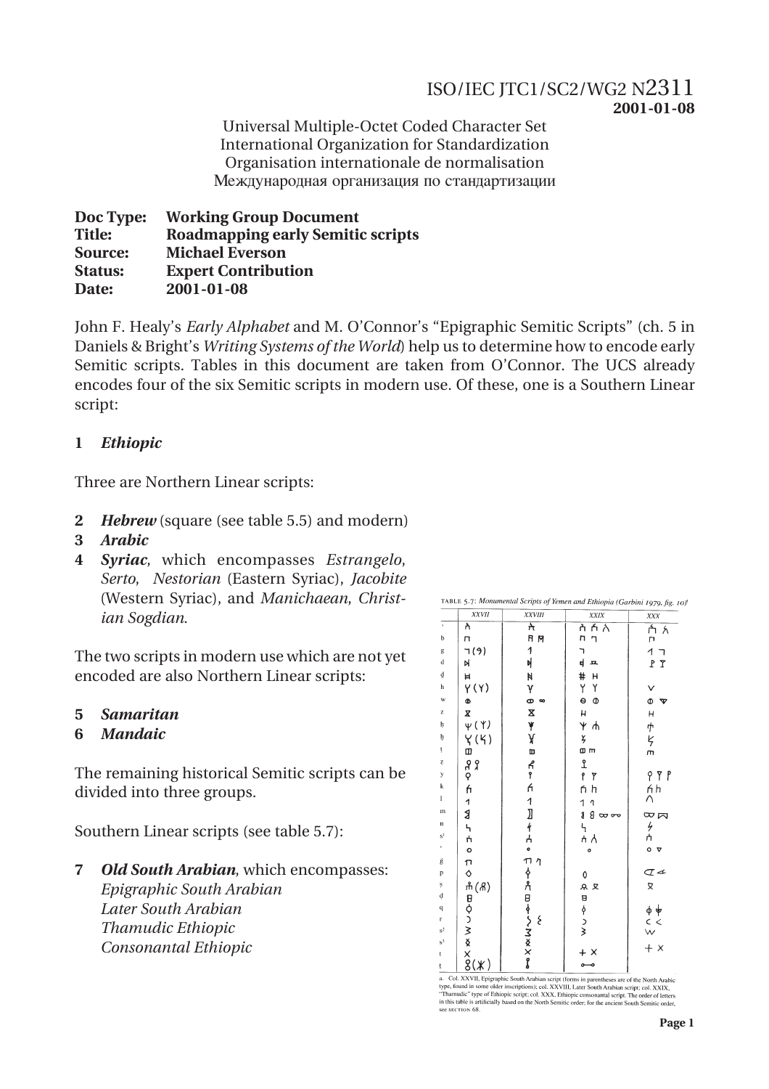## ISO/IEC JTC1/SC2/WG2 N2311 **2001-01-08**

Universal Multiple-Octet Coded Character Set International Organization for Standardization Organisation internationale de normalisation еждународная организация по стандартизации

**Doc Type: Working Group Document Title: Roadmapping early Semitic scripts Source: Michael Everson Status: Expert Contribution Date: 2001-01-08**

John F. Healy's *Early Alphabet* and M. O'Connor's "Epigraphic Semitic Scripts" (ch. 5 in Daniels & Bright's *Writing Systems of the World*) help us to determine how to encode early Semitic scripts. Tables in this document are taken from O'Connor. The UCS already encodes four of the six Semitic scripts in modern use. Of these, one is a Southern Linear script:

## **1** *Ethiopic*

Three are Northern Linear scripts:

- **2** *Hebrew* (square (see table 5.5) and modern)
- **3** *Arabic*
- **4** *Syriac*, which encompasses *Estrangelo*, *Serto*, *Nestorian* (Eastern Syriac), *Jacobite* (Western Syriac), and *Manichaean*, *Christian Sogdian*.

The two scripts in modern use which are not yet encoded are also Northern Linear scripts:

- **5** *Samaritan*
- **6** *Mandaic*

The remaining historical Semitic scripts can be divided into three groups.

Southern Linear scripts (see table 5.7):

**7** *Old South Arabian*, which encompasses: *Epigraphic South Arabian Later South Arabian Thamudic Ethiopic Consonantal Ethiopic*

|                         | <b>XXVII</b>                                          | <b>XXVIII</b>         | XXIX              | XXX                     |
|-------------------------|-------------------------------------------------------|-----------------------|-------------------|-------------------------|
| $\,$                    | λ                                                     | ᡮ                     | ńλ<br>ስ           | Á አ<br>r                |
| $\mathbf b$             | п                                                     | R M                   | n<br>ግ            |                         |
| g                       | 7(9)                                                  | 1                     | ٦                 | 1                       |
| $\rm d$                 | N                                                     | 비                     | ф<br>丘            | $P$ $\Upsilon$          |
| ₫                       | Ħ                                                     | N                     | #<br>н            |                         |
| h                       | $\gamma(\gamma)$                                      | γ                     | Y<br>Υ            | v                       |
| W                       | Ф                                                     | $\bullet$<br>$\infty$ | $\Theta$<br>Ф     | Ф<br>ত                  |
| z                       | X                                                     | X                     | Н                 | $\mathsf{H}$            |
| ķ                       | $\psi$ ( $\Upsilon$ )                                 | $\frac{1}{x}$         | Ψ.<br>ሐ           |                         |
| þ                       |                                                       |                       | ž                 | サヒ                      |
| ţ                       |                                                       | œ                     | o m               | $\overline{m}$          |
| Ļ                       | ५ (५)<br>११<br>२                                      |                       | $\mathfrak{L}$    |                         |
| y                       |                                                       | ዳ<br>የ                | p.<br>٢           | 99P                     |
| k                       | h                                                     | ń                     | ńh                | ńh<br>∧                 |
| ı                       | 1                                                     |                       | 1<br>7            |                         |
| m                       | J                                                     |                       | g<br>$8 \omega -$ | $\infty$ $\bowtie$      |
| n                       | 4                                                     |                       | $\mathbf{r}$      |                         |
| $s^{\dagger}$           |                                                       |                       | ሐ ለ               | クウ                      |
|                         | ۸<br>م                                                |                       | ۰                 | $\circ$ $\triangledown$ |
| ģ                       |                                                       | $\eta$                |                   |                         |
| p                       | Π<br>◇                                                |                       | 0                 | $\sigma$                |
| $\mathbf{s}$            |                                                       |                       | R R               | X                       |
| ġ                       |                                                       |                       |                   |                         |
| $\overline{\mathbf{q}}$ |                                                       |                       |                   |                         |
| r                       |                                                       | ξ                     | 日 〜 ノヌ            | ゆ申<br>く<br>W            |
| $s^2$<br>$s^3$          |                                                       |                       |                   |                         |
|                         | <sup>市(8)</sup><br>日 0<br>つ M<br>X<br>X<br>X<br>X X X | 1〗4A.「14A日4SMXXXX     | $\times$          | $+ x$                   |
| t<br>ţ                  |                                                       |                       |                   |                         |

a. Col. XXVII, Epigraphic South Arabian script (forms in parentheses are of the North Arabic type, found in some older inscriptions); col. XXVIII, Later South Arabian script; col. XXIX, "Thamudic" type of Ethiopic script;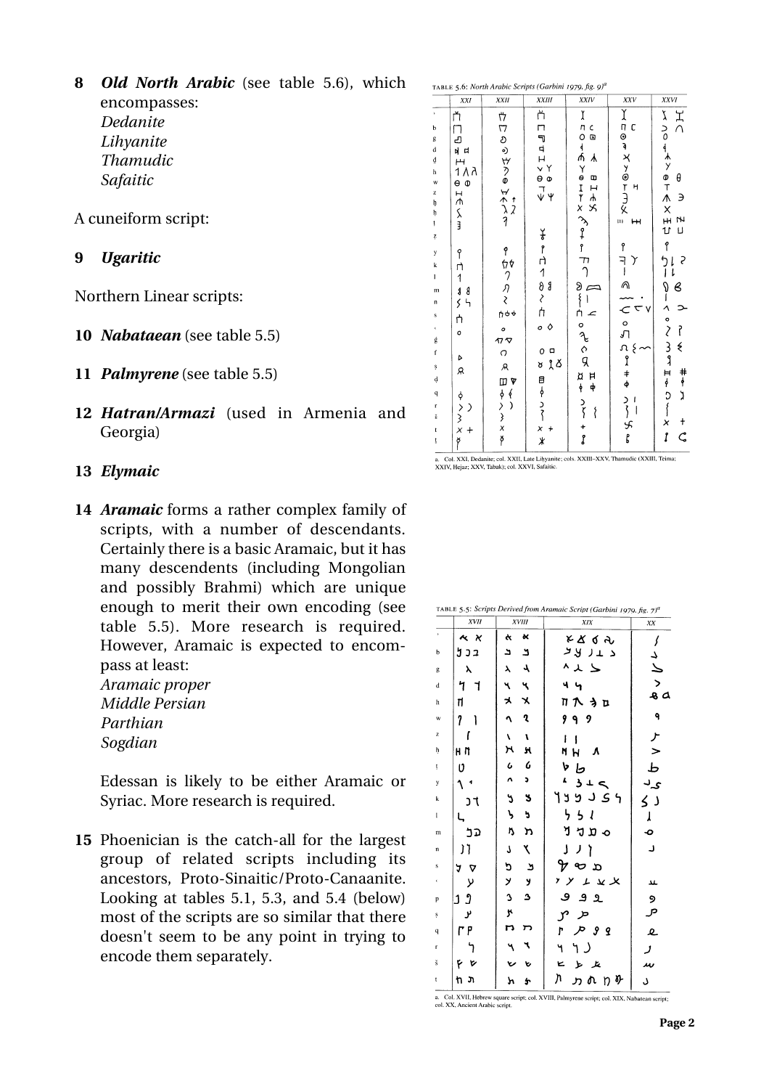**8** *Old North Arabic* (see table 5.6), which encompasses: *Dedanite Lihyanite Thamudic Safaitic*

A cuneiform script:

**9** *Ugaritic*

Northern Linear scripts:

- **10** *Nabataean* (see table 5.5)
- **11** *Palmyrene* (see table 5.5)
- **12** *Hatran/Armazi* (used in Armenia and Georgia)
- **13** *Elymaic*
- **14** *Aramaic* forms a rather complex family of scripts, with a number of descendants. Certainly there is a basic Aramaic, but it has many descendents (including Mongolian and possibly Brahmi) which are unique enough to merit their own encoding (see table 5.5). More research is required. However, Aramaic is expected to encompass at least: *Aramaic proper Middle Persian*

*Parthian Sogdian*

Edessan is likely to be either Aramaic or Syriac. More research is required.

**15** Phoenician is the catch-all for the largest group of related scripts including its ancestors, Proto-Sinaitic/Proto-Canaanite. Looking at tables 5.1, 5.3, and 5.4 (below) most of the scripts are so similar that there doesn't seem to be any point in trying to encode them separately.

|                      | XXI                                              | XXII                     | <b>XXIII</b>                               | XXIV                          | XXV                     | XXVI                          |
|----------------------|--------------------------------------------------|--------------------------|--------------------------------------------|-------------------------------|-------------------------|-------------------------------|
| $\bar{\nu}$          | ň                                                | 4                        | ሶነ                                         | Ĭ                             | てっこん メンのてろく             | どく                            |
| b                    | П                                                |                          | Π                                          | C                             | C                       |                               |
| g                    | نے'                                              |                          |                                            | $\overline{a}$                |                         |                               |
| $\mathbf d$          | 버                                                |                          |                                            | л<br>う 4 小                    |                         |                               |
| ₫                    | Н                                                |                          |                                            | ⅄                             |                         |                               |
| h                    | 1 ∧ λ                                            |                          |                                            | œ                             |                         | θ                             |
| W<br>z               | $\theta$ $\Phi$                                  | <b>口 のっ ヴァの びかうり</b>     | $\xi \rightarrow 0 \times T \rightarrow T$ | $\overline{a}$                | Η                       | <b>ζ ∩ο → ⊀ ≯ Φ ⊤ Λ Χ ⊞ ひ</b> |
| þ                    | $\overline{1}$                                   |                          |                                            | .<br>⊱<br>×                   |                         | $\mathcal{E}$                 |
|                      |                                                  | $\frac{1}{2}$            |                                            |                               |                         |                               |
| ķ                    | 人目                                               |                          |                                            |                               | m<br>н                  | Z                             |
| Į.                   |                                                  |                          |                                            |                               |                         | IJ                            |
| y                    | q                                                |                          | そうわいのくわ                                    | Yourk Kote                    | 9                       | p                             |
| $\bf k$              |                                                  |                          |                                            |                               |                         | ς                             |
| $\mathbf{I}$         | η<br>$\overline{1}$                              |                          |                                            |                               |                         | l                             |
|                      |                                                  | የ fγ ?<br>イック ?<br>f≀d → | g                                          | $\subset$                     | イー ヘーパ こうにんたい           | в                             |
| $\mathbf{m}$<br>n    | $\pmb{\delta}$<br>8<br>$\zeta$<br>$\mathfrak{h}$ |                          |                                            | 8<br>1<br>1                   |                         |                               |
| s                    |                                                  |                          |                                            | $\overline{a}$                | $\overline{\mathbf{C}}$ |                               |
|                      | ή                                                |                          | o 0                                        |                               |                         |                               |
| $\epsilon$           | $\circ$                                          | $\circ$                  |                                            | 。<br>२०<br>प्र                |                         | ľ                             |
| ģ                    |                                                  | $\pi\sigma$              | $\Box$                                     |                               |                         | ⋞                             |
| $\mathbf f$          | Ь                                                | $\circ$                  | $\circ$                                    |                               |                         |                               |
| ş                    | Я                                                | A                        | ኒ Ճ<br>ď                                   |                               |                         |                               |
| $\dot{q}$            |                                                  | $\pmb{\mathbb{V}}$       |                                            | <b>A</b><br>ト<br>ノイ<br>H<br>ф | $\frac{4}{9}$           |                               |
| $\bf q$              |                                                  | $\frac{6}{1}$            |                                            |                               |                         | キャン                           |
| r                    | ∋                                                |                          |                                            | $\{$                          |                         |                               |
| $\check{\mathbf{s}}$ | <i>や&gt;&gt;×</i>                                | ロウンシメヤ                   | 目 ~ ^ ^ ^ ^ ^                              |                               | しんよう                    | ひしゅしょっく ろりはもの うし<br>t         |
| t                    | $+$                                              |                          |                                            | $\frac{1}{2}$                 |                         | ľ                             |
| ţ                    | ğ                                                |                          | $\star$                                    |                               |                         | $\varsigma$                   |

XXIV. Hejaz: XXV. Tabuk): col. XXVI. Safaitic

| TABLE 5.5: Scripts Derived from Aramaic Script (Garbini 1979, fig. 7) <sup>a</sup> |                  |                            |                                                |              |  |  |
|------------------------------------------------------------------------------------|------------------|----------------------------|------------------------------------------------|--------------|--|--|
|                                                                                    | XVII             | <b>XVIII</b>               | XIX                                            | XX           |  |  |
| $\,$                                                                               | $\star$ $\times$ | $\boldsymbol{\alpha}$<br>ĸ | そぶてん                                           | ſ            |  |  |
| b                                                                                  | בכ ל             | د<br>د                     | د 11 لاتر                                      | 7            |  |  |
| g                                                                                  | λ                | 1<br>$\lambda$             | ^ 、 _ _                                        | と            |  |  |
| d                                                                                  | 7<br>٦           | ષ<br>٦                     | 44                                             |              |  |  |
| h                                                                                  | Π                | メ<br>x                     | Πጒϡኴ                                           | $\sim$       |  |  |
| w                                                                                  | 7                | ૧                          | 9<br>٩<br>9                                    | ٩            |  |  |
| $\bf{z}$                                                                           | ſ                | ı<br>V                     | ı<br>ţ                                         |              |  |  |
| ħ                                                                                  | нη               | κ<br>н                     | Ŋ<br>Η<br>л                                    | $\mathbf{r}$ |  |  |
| ţ                                                                                  | υ                | 6<br>$\mathbf c$           | V<br>Ь                                         | Ъ            |  |  |
| y                                                                                  |                  | Λ<br>J,                    | ۸<br>3<br>T<br>≂                               | ۍ د          |  |  |
| k                                                                                  | J٦               | ى<br>3                     | ی د د د ۱                                      | ر ک          |  |  |
| I                                                                                  |                  | ゝ<br>ð                     | り<br>$\overline{\phantom{a}}$<br>$\mathcal{I}$ | ړ            |  |  |
| m                                                                                  | בכ               | Ŋ<br>מ                     | ็ว<br>ס מל                                     | Ó            |  |  |
| n                                                                                  | ĭ<br>Ĩ.          | J<br>۲                     | J<br>ì                                         | د            |  |  |
| s                                                                                  | A<br>0           | פ<br>ݵ                     | $\alpha$ and $\gamma$                          |              |  |  |
| ¢                                                                                  | У                | У<br>y                     | , y<br>エッメ                                     | 14.          |  |  |
| p                                                                                  | Ĵ<br>1           | 3<br>۵                     | ٯ<br>ے و                                       | ୨            |  |  |
| ş                                                                                  | ىر               | y.                         | r<br>حر                                        | مر           |  |  |
| q                                                                                  | ۲ م              | n<br>רו                    | ħ<br>مر<br><b>99</b>                           | e            |  |  |
| r                                                                                  |                  | ٦                          | Ч                                              | ر            |  |  |
| š                                                                                  | ۴<br>r           | ৬                          | ĸ<br>ىز<br>يتل                                 | м            |  |  |
| t                                                                                  | ת<br>'n.         | У<br>40                    | Л<br>ヵれ<br>n o                                 | J            |  |  |

a. Col. XVII, Hebrew square script; col. XVIII, Palmyrene script; col. XIX, Nabatean script; col. XX, Ancient Arabic script.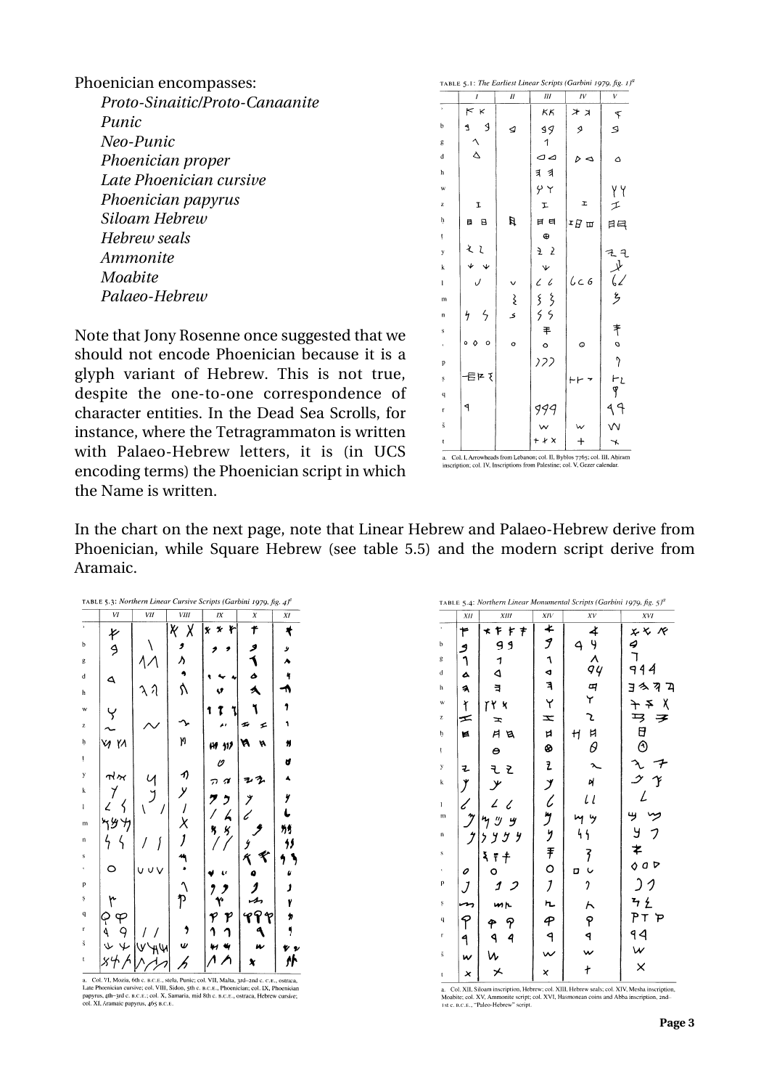Phoenician encompasses: *Proto-Sinaitic/Proto-Canaanite Punic Neo-Punic Phoenician proper Late Phoenician cursive Phoenician papyrus Siloam Hebrew Hebrew seals Ammonite Moabite Palaeo-Hebrew*

Note that Jony Rosenne once suggested that we should not encode Phoenician because it is a glyph variant of Hebrew. This is not true, despite the one-to-one correspondence of character entities. In the Dead Sea Scrolls, for instance, where the Tetragrammaton is written with Palaeo-Hebrew letters, it is (in UCS encoding terms) the Phoenician script in which the Name is written.

|                         |              |             |                                        | TABLE 5.1: The Earliest Linear Scripts (Garbini 1979, fig. 1) |          |
|-------------------------|--------------|-------------|----------------------------------------|---------------------------------------------------------------|----------|
|                         | 1            | $\cal H$    | III                                    | IV                                                            | V        |
| $\bar{ }$               | K<br>$\lt$   |             | ΚK                                     | オス                                                            | F        |
| b                       | J<br>1       | ⊴           | $\mathfrak{g}$                         | ۶                                                             | ى        |
| g                       |              |             | 1                                      |                                                               |          |
| d                       | $\Delta$     |             | 00                                     | ⊲                                                             | ۵        |
| h                       |              |             | すす                                     |                                                               |          |
| w                       |              |             | $\gamma \gamma$                        |                                                               | YY       |
| z                       | I            |             | r                                      | I                                                             | エ        |
| ķ                       | B<br>目       | Ħ           | 日 日                                    | $\mathfrak{r} \not \sqcup \mathfrak{m}$                       | 日目       |
| ţ                       |              |             | $\oplus$                               |                                                               |          |
| y                       | ぇ<br>l       |             | Z 2                                    |                                                               | えそ       |
| k                       |              |             | Ψ                                      |                                                               | $\chi^2$ |
| $\mathbf{l}$            |              |             | $\iota$<br>$\mathcal{L}_{\mathcal{L}}$ | $C\subset G$                                                  |          |
| m                       |              | $\hat{\xi}$ | s<br>S<br>$\zeta$                      |                                                               | ٷ        |
| n                       | ζ<br>4       | ٤           | $\overline{\mathcal{L}}$               |                                                               |          |
| S                       |              |             | 丰                                      |                                                               | 肀        |
| ¢                       | ٥<br>$\circ$ | o           | $\circ$                                | O                                                             | o        |
| p                       |              |             | 122                                    |                                                               | 7        |
| ş                       | 目にて          |             |                                        | ⊢                                                             | ⊢L       |
| $\overline{\mathbf{q}}$ |              |             |                                        |                                                               | J        |
| г                       | ٩            |             | 999                                    |                                                               | ᠲ<br>4   |
| $\check{\mathbf{s}}$    |              |             |                                        |                                                               |          |
| t                       |              |             | + + x                                  | ┿                                                             | ⊀        |

inscription; col. IV, Inscriptions from Palestine; col. V, Gezer calendar

In the chart on the next page, note that Linear Hebrew and Palaeo-Hebrew derive from Phoenician, while Square Hebrew (see table 5.5) and the modern script derive from Aramaic.

|                     |                       |       |             | <b>TABLE 5.3: Northern Linear Cursive Scripts (Garbini 1979, fig. 4)</b> <sup><math>\mu</math></sup> |                  |    |
|---------------------|-----------------------|-------|-------------|------------------------------------------------------------------------------------------------------|------------------|----|
|                     | VI                    | VII   | <b>VIII</b> | IX                                                                                                   | $\boldsymbol{X}$ | XI |
| $\bar{\phantom{a}}$ | K                     |       | K<br>χ      | r<br>l×<br>$\star$                                                                                   | 4                |    |
| b                   | 9                     |       | ,           |                                                                                                      | ۶                | у  |
| g                   |                       |       |             |                                                                                                      | Í                |    |
| $\mathbf d$         | ۵                     |       |             |                                                                                                      | ۵                | 4  |
| h                   |                       | λ     | ሳ           |                                                                                                      |                  |    |
| w                   |                       |       |             |                                                                                                      |                  | 7  |
| z                   |                       |       |             |                                                                                                      | s<br>≤           |    |
| h.                  | VI YA                 |       | 'n          | 119<br>m                                                                                             | n                |    |
| ţ                   |                       |       |             | U                                                                                                    |                  | d  |
| у                   | $\vec{n}$ ʻ $\vec{n}$ |       | -1)         | s<br>7                                                                                               |                  |    |
| $\bf k$             |                       |       | У           | 7<br>ク                                                                                               |                  | y  |
| ı                   |                       |       |             | $\overline{\mathbf{r}}$                                                                              |                  |    |
| m                   |                       |       | X           | ý<br>Ŋ                                                                                               |                  |    |
| $\mathbf n$         | ζ                     |       |             |                                                                                                      |                  |    |
| $\mathbf{s}$        |                       |       |             |                                                                                                      | ≮<br>ĸ           |    |
|                     |                       | u u v |             |                                                                                                      |                  | U  |
| p                   |                       |       |             | 7                                                                                                    |                  | J  |
| ş                   | ٣                     |       | P           |                                                                                                      |                  | Y  |
| $\bf q$             | F                     |       |             | P                                                                                                    | r                | 'n |
| r                   | م<br>م                |       |             |                                                                                                      |                  |    |
| š                   | $\overline{u}$        |       |             |                                                                                                      |                  |    |
| t                   |                       |       |             |                                                                                                      |                  |    |

-<br>
- Col. VI, Mozia, 6th c. B.C.E., stela, Punic; col. VII, Malta, 3rd-2nd c. c.E., ostraca,<br>
Late Phoenician cursive; col. VIII, Sidon, 5th c. B.C.E., Phoenician; col. IX, Phoenician<br>
papyrus, 4th-3rd c. B.C.E., Ch.X, Sam

| TABLE 5.4: Northern Linear Monumental Scripts (Garbini 1979, fig. 5) <sup>a</sup> |                         |                                       |              |                    |                                                                    |  |
|-----------------------------------------------------------------------------------|-------------------------|---------------------------------------|--------------|--------------------|--------------------------------------------------------------------|--|
|                                                                                   | XII                     | XIII                                  | XIV          | XV                 | XVI                                                                |  |
| $\bar{\phantom{a}}$                                                               | ۴                       | キャキ<br>$\star$                        | ≰            |                    |                                                                    |  |
| $\bf b$                                                                           | 9                       | و و                                   | J            | 4                  | $\begin{array}{c}\n x \times R \\  q \\  \hline\n 1\n \end{array}$ |  |
| g                                                                                 |                         | $\begin{array}{c} 1 \\ 4 \end{array}$ |              | <b>チリハワ F</b>      |                                                                    |  |
| $\mathbf d$                                                                       | a                       |                                       |              |                    | 944                                                                |  |
| h                                                                                 | $\overline{\mathbf{a}}$ | E                                     | へのすい         |                    | へっ<br>E<br>ገ                                                       |  |
| w                                                                                 |                         | TY X                                  |              |                    | χ<br>$\rightarrow$                                                 |  |
| z                                                                                 | $\frac{1}{5}$           | $\mathbf{r}$                          | z            | Z                  | ヺ                                                                  |  |
| þ.                                                                                | Ħ                       | ΗВ                                    |              | Η                  |                                                                    |  |
| ţ                                                                                 |                         | $\bullet$                             | ¤<br>⊗       | $\frac{H}{\theta}$ | $\mathcal{F} \, \mathbb{P} \oplus \oplus$                          |  |
| y                                                                                 | ュ                       | ž,<br>F.                              |              |                    |                                                                    |  |
| $\mathbf k$                                                                       |                         | $\overline{y}$                        |              | Ŋ                  |                                                                    |  |
| $\mathbf{I}$                                                                      |                         |                                       |              | $l$ $l$            |                                                                    |  |
| $\mathbf{m}$                                                                      |                         |                                       |              | Ψ<br>η             | ッ                                                                  |  |
| n                                                                                 |                         |                                       |              | 4                  | У<br>フ                                                             |  |
| $\overline{\mathbf{s}}$                                                           |                         | ξ<br>Ŧ.                               |              | そし                 | ≉                                                                  |  |
| $\epsilon$                                                                        | 0                       | о                                     |              | D                  | 000                                                                |  |
| p                                                                                 | $\overline{J}$          | 1<br>2                                |              | 7                  |                                                                    |  |
| $\mathbf{s}$                                                                      |                         | mr                                    |              |                    | <b>3 Ł</b>                                                         |  |
| $\bf q$                                                                           |                         | 9                                     |              | へやり                | PT<br>P                                                            |  |
| r                                                                                 | 9                       | 4                                     |              |                    | $\begin{array}{c} 94 \\ w \\ x \end{array}$                        |  |
| $\check{\mathbf{s}}$                                                              | w                       |                                       | $\mathsf{w}$ |                    |                                                                    |  |
| $\mathfrak t$                                                                     | ×                       | ⊁                                     | ×            | ł                  |                                                                    |  |

a. Col. XII, Siloam inscription, Hebrew; col. XIII, Hebrew seals; col. XIV, Mesha inscription, Moabite; col. XV, Ammonite script; col. XVI, Hasmonean coins and Abba inscription, 2nd-1st c. B.C.E., "Paleo-Hebrew" script.